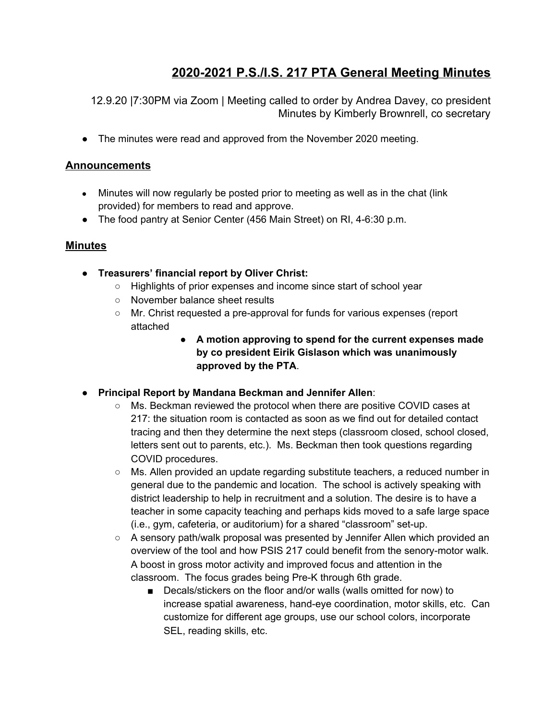# **2020-2021 P.S./I.S. 217 PTA General Meeting Minutes**

12.9.20 |7:30PM via Zoom | Meeting called to order by Andrea Davey, co president Minutes by Kimberly Brownrell, co secretary

• The minutes were read and approved from the November 2020 meeting.

#### **Announcements**

- Minutes will now regularly be posted prior to meeting as well as in the chat (link provided) for members to read and approve.
- The food pantry at Senior Center (456 Main Street) on RI, 4-6:30 p.m.

#### **Minutes**

- **Treasurers' financial report by Oliver Christ:**
	- Highlights of prior expenses and income since start of school year
	- November balance sheet results
	- Mr. Christ requested a pre-approval for funds for various expenses (report attached
		- **A motion approving to spend for the current expenses made by co president Eirik Gislason which was unanimously approved by the PTA**.
- **Principal Report by Mandana Beckman and Jennifer Allen**:
	- Ms. Beckman reviewed the protocol when there are positive COVID cases at 217: the situation room is contacted as soon as we find out for detailed contact tracing and then they determine the next steps (classroom closed, school closed, letters sent out to parents, etc.). Ms. Beckman then took questions regarding COVID procedures.
	- Ms. Allen provided an update regarding substitute teachers, a reduced number in general due to the pandemic and location. The school is actively speaking with district leadership to help in recruitment and a solution. The desire is to have a teacher in some capacity teaching and perhaps kids moved to a safe large space (i.e., gym, cafeteria, or auditorium) for a shared "classroom" set-up.
	- $\circ$  A sensory path/walk proposal was presented by Jennifer Allen which provided an overview of the tool and how PSIS 217 could benefit from the senory-motor walk. A boost in gross motor activity and improved focus and attention in the classroom. The focus grades being Pre-K through 6th grade.
		- Decals/stickers on the floor and/or walls (walls omitted for now) to increase spatial awareness, hand-eye coordination, motor skills, etc. Can customize for different age groups, use our school colors, incorporate SEL, reading skills, etc.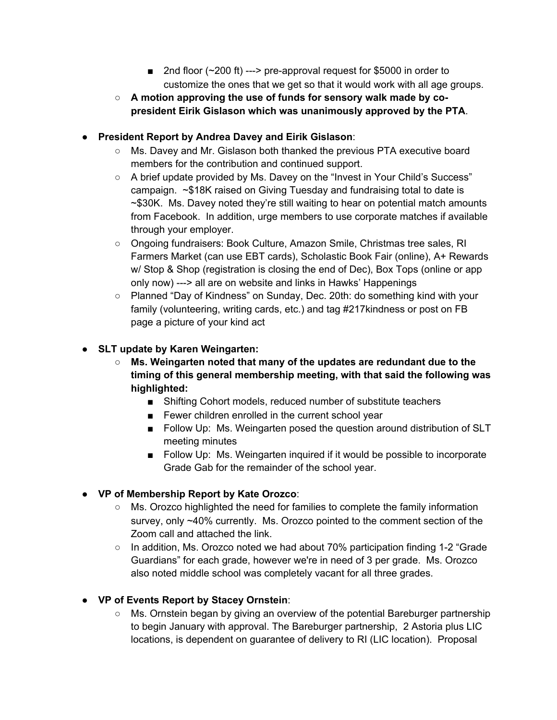- 2nd floor (~200 ft) ---> pre-approval request for \$5000 in order to customize the ones that we get so that it would work with all age groups.
- **A motion approving the use of funds for sensory walk made by copresident Eirik Gislason which was unanimously approved by the PTA**.

## ● **President Report by Andrea Davey and Eirik Gislason**:

- Ms. Davey and Mr. Gislason both thanked the previous PTA executive board members for the contribution and continued support.
- A brief update provided by Ms. Davey on the "Invest in Your Child's Success" campaign. ~\$18K raised on Giving Tuesday and fundraising total to date is ~\$30K. Ms. Davey noted they're still waiting to hear on potential match amounts from Facebook. In addition, urge members to use corporate matches if available through your employer.
- Ongoing fundraisers: Book Culture, Amazon Smile, Christmas tree sales, RI Farmers Market (can use EBT cards), Scholastic Book Fair (online), A+ Rewards w/ Stop & Shop (registration is closing the end of Dec), Box Tops (online or app only now) ---> all are on website and links in Hawks' Happenings
- Planned "Day of Kindness" on Sunday, Dec. 20th: do something kind with your family (volunteering, writing cards, etc.) and tag #217kindness or post on FB page a picture of your kind act

#### **● SLT update by Karen Weingarten:**

- **Ms. Weingarten noted that many of the updates are redundant due to the timing of this general membership meeting, with that said the following was highlighted:**
	- Shifting Cohort models, reduced number of substitute teachers
	- Fewer children enrolled in the current school year
	- Follow Up: Ms. Weingarten posed the question around distribution of SLT meeting minutes
	- Follow Up: Ms. Weingarten inquired if it would be possible to incorporate Grade Gab for the remainder of the school year.

## ● **VP of Membership Report by Kate Orozco**:

- Ms. Orozco highlighted the need for families to complete the family information survey, only ~40% currently. Ms. Orozco pointed to the comment section of the Zoom call and attached the link.
- In addition, Ms. Orozco noted we had about 70% participation finding 1-2 "Grade Guardians" for each grade, however we're in need of 3 per grade. Ms. Orozco also noted middle school was completely vacant for all three grades.

## ● **VP of Events Report by Stacey Ornstein**:

○ Ms. Ornstein began by giving an overview of the potential Bareburger partnership to begin January with approval. The Bareburger partnership, 2 Astoria plus LIC locations, is dependent on guarantee of delivery to RI (LIC location). Proposal